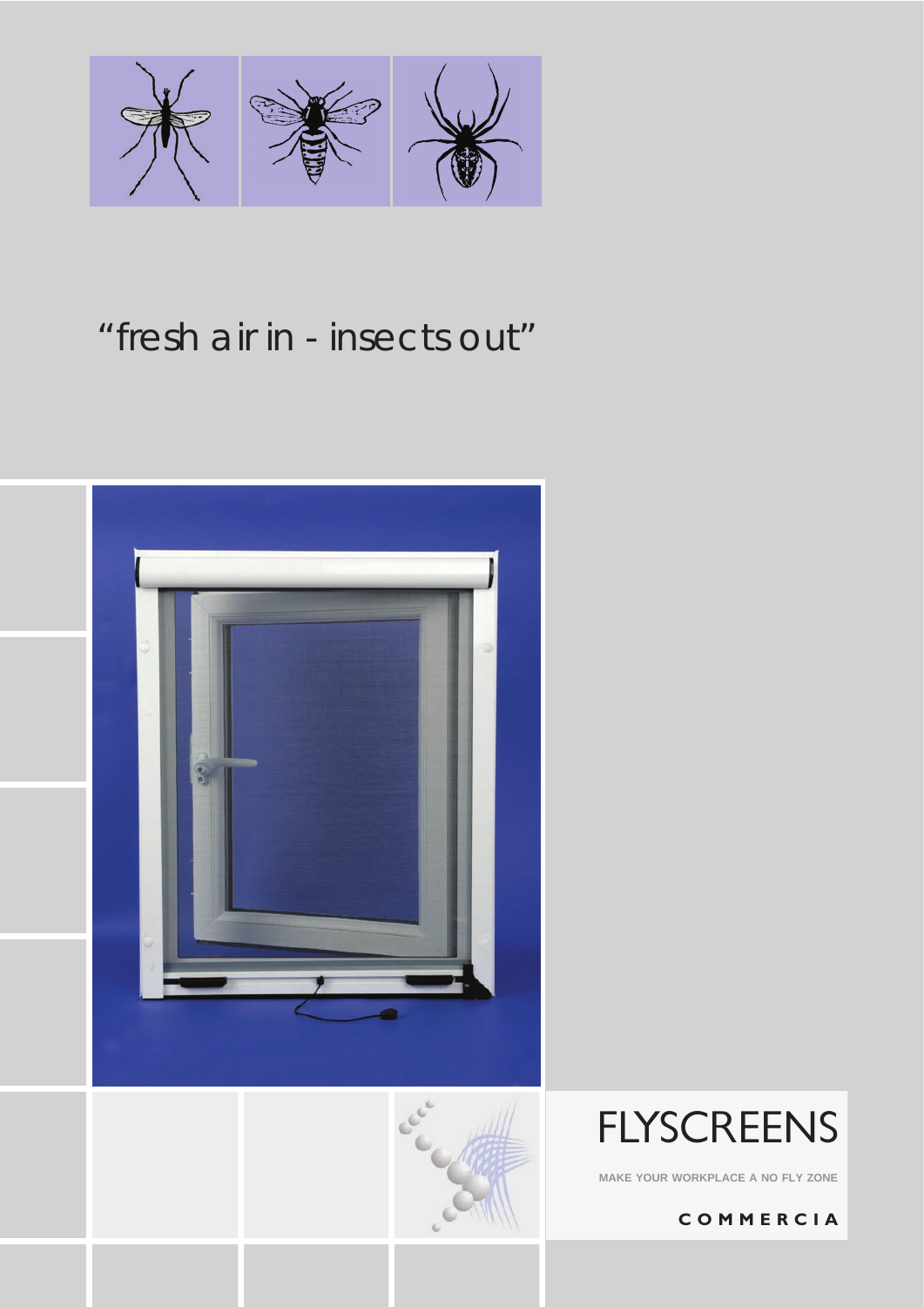

# *"fresh air in - insects out"*







**MAKE YOUR WORKPLACE A NO FLY ZONE**

**C O M M E R C I A**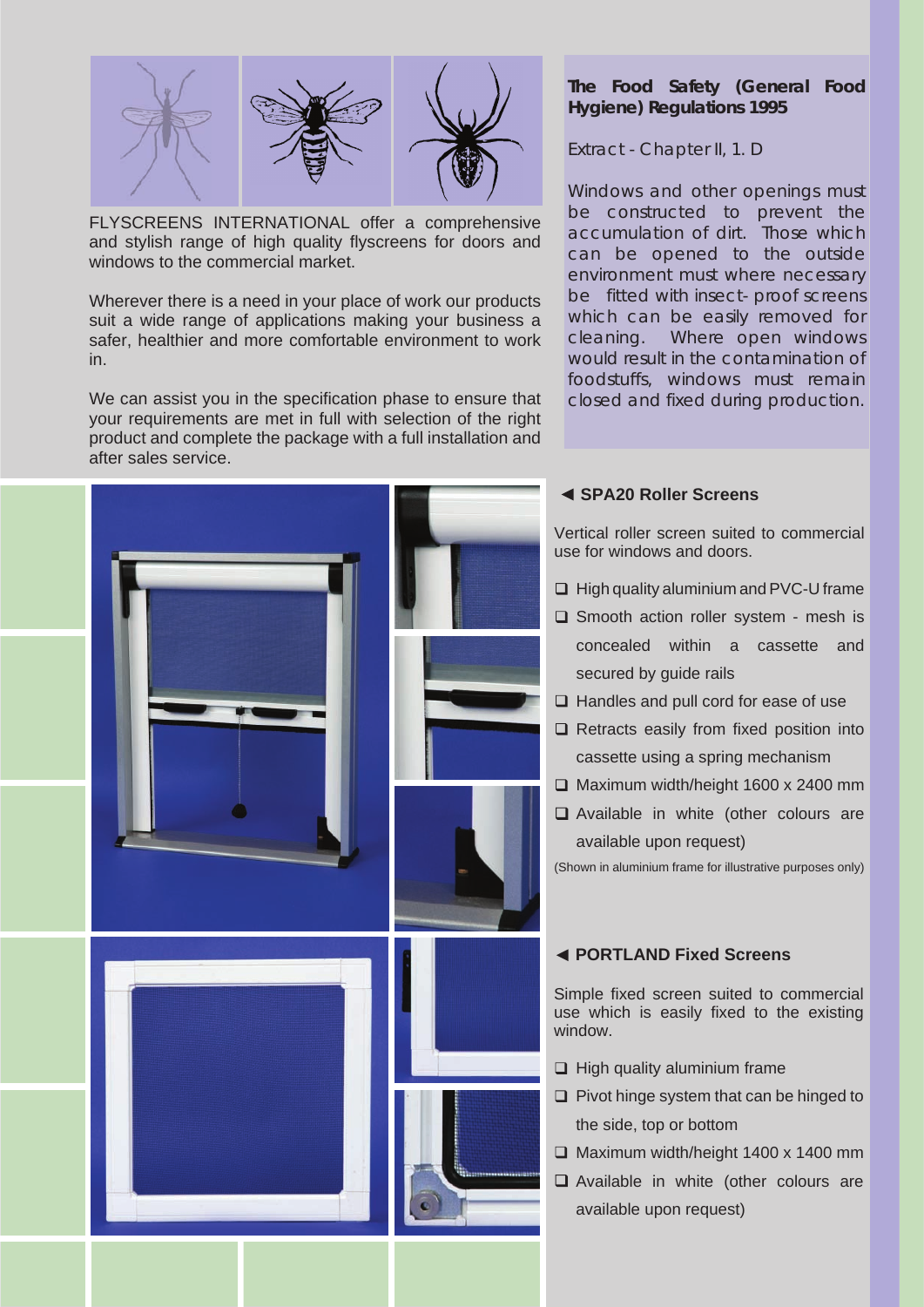

FLYSCREENS INTERNATIONAL offer a comprehensive and stylish range of high quality flyscreens for doors and windows to the commercial market.

Wherever there is a need in your place of work our products suit a wide range of applications making your business a safer, healthier and more comfortable environment to work in.

We can assist you in the specification phase to ensure that your requirements are met in full with selection of the right product and complete the package with a full installation and after sales service.



# **The Food Safety (General Food Hygiene) Regulations 1995**

Extract - Chapter II, 1. D

*Windows and other openings must be constructed to prevent the accumulation of dirt. Those which can be opened to the outside environment must where necessary be fitted with insect- proof screens which can be easily removed for cleaning. Where open windows would result in the contamination of foodstuffs, windows must remain closed and fixed during production.*

# **SPA20 Roller Screens**

Vertical roller screen suited to commercial use for windows and doors.

- $\Box$  High quality aluminium and PVC-U frame
- $\square$  Smooth action roller system mesh is concealed within a cassette and secured by quide rails
- $\Box$  Handles and pull cord for ease of use
- $\Box$  Retracts easily from fixed position into cassette using a spring mechanism
- $\Box$  Maximum width/height 1600 x 2400 mm
- $\Box$  Available in white (other colours are available upon request)

(Shown in aluminium frame for illustrative purposes only)

## **PORTLAND Fixed Screens**

Simple fixed screen suited to commercial use which is easily fixed to the existing window.

- $\Box$  High quality aluminium frame
- $\Box$  Pivot hinge system that can be hinged to the side, top or bottom
- $\Box$  Maximum width/height 1400 x 1400 mm
- Available in white (other colours are available upon request)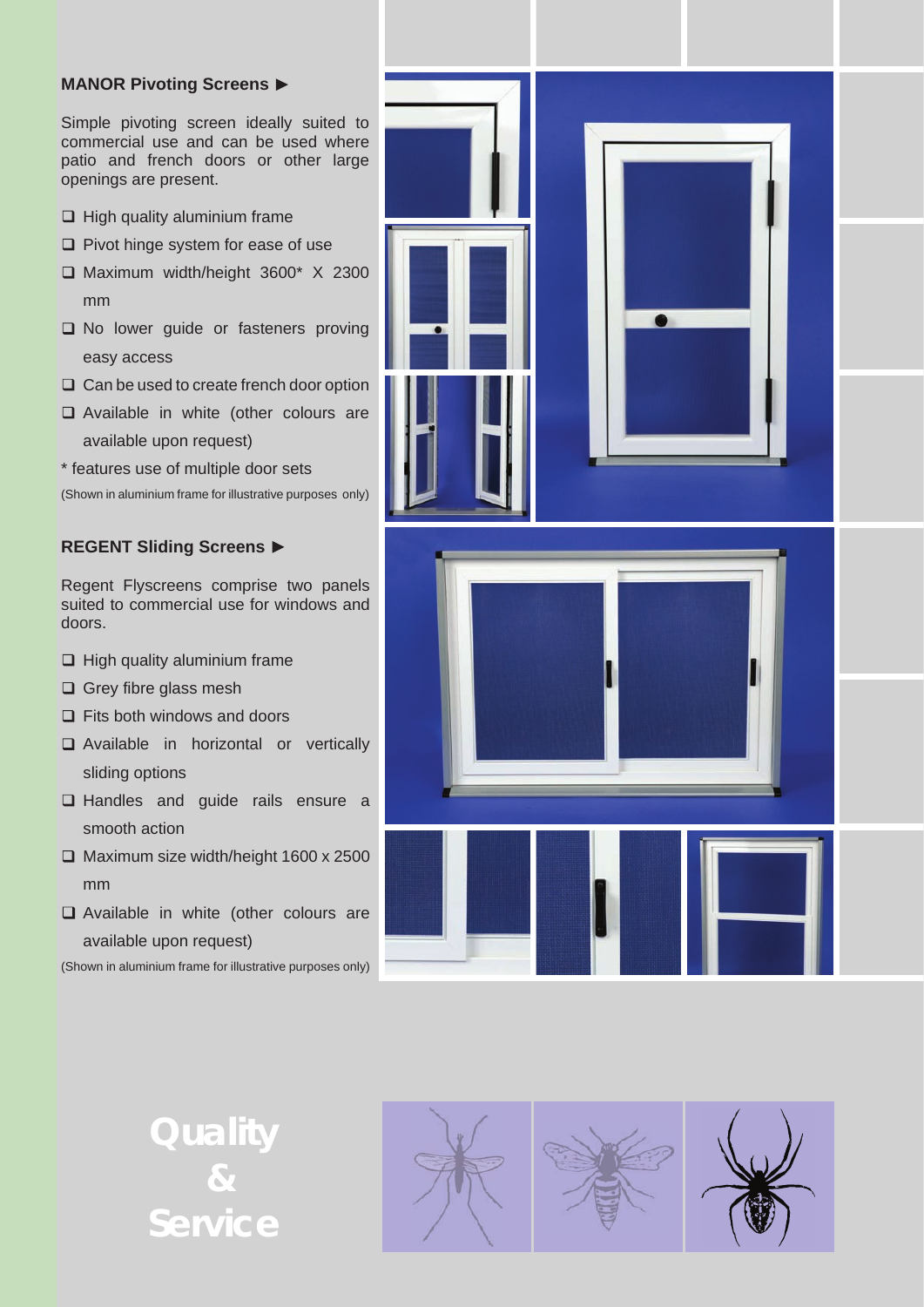#### **MANOR Pivoting Screens**

Simple pivoting screen ideally suited to commercial use and can be used where patio and french doors or other large openings are present.

- $\Box$  High quality aluminium frame
- $\Box$  Pivot hinge system for ease of use
- Maximum width/height 3600\* X 2300 mm
- $\square$  No lower guide or fasteners proving easy access
- $\Box$  Can be used to create french door option
- □ Available in white (other colours are available upon request)
- \* features use of multiple door sets

(Shown in aluminium frame for illustrative purposes only)

## **REGENT Sliding Screens**

Regent Flyscreens comprise two panels suited to commercial use for windows and doors.

- $\Box$  High quality aluminium frame
- $\Box$  Grey fibre glass mesh
- $\Box$  Fits both windows and doors
- **Q** Available in horizontal or vertically sliding options
- $\Box$  Handles and guide rails ensure a smooth action
- $\Box$  Maximum size width/height 1600 x 2500 mm
- □ Available in white (other colours are available upon request)

(Shown in aluminium frame for illustrative purposes only)



**Quality & Service**